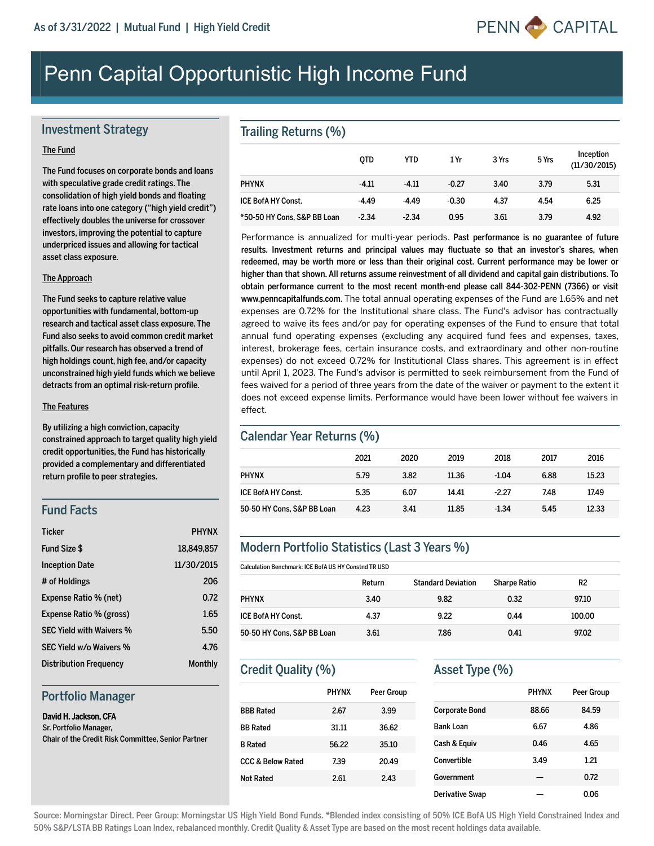

# Penn Capital Opportunistic High Income Fund

#### Investment Strategy

#### The Fund

The Fund focuses on corporate bonds and loans with speculative grade credit ratings. The consolidation of high yield bonds and floating rate loans into one category ("high yield credit") effectively doubles the universe for crossover investors, improving the potential to capture underpriced issues and allowing for tactical asset class exposure.

#### The Approach

The Fund seeks to capture relative value opportunities with fundamental, bottom-up research and tactical asset class exposure. The Fund also seeks to avoid common credit market pitfalls. Our research has observed a trend of high holdings count, high fee, and/or capacity unconstrained high yield funds which we believe detracts from an optimal risk-return profile.

#### The Features

By utilizing a high conviction, capacity constrained approach to target quality high yield credit opportunities, the Fund has historically provided a complementary and differentiated return profile to peer strategies.

#### Fund Facts

| <b>Ticker</b>                   | <b>PHYNX</b>   |
|---------------------------------|----------------|
| <b>Fund Size \$</b>             | 18.849.857     |
| <b>Inception Date</b>           | 11/30/2015     |
| # of Holdings                   | 206            |
| Expense Ratio % (net)           | 0.72           |
| Expense Ratio % (gross)         | 1.65           |
| <b>SEC Yield with Waivers %</b> | 5.50           |
| SEC Yield w/o Waivers %         | 4.76           |
| <b>Distribution Frequency</b>   | <b>Monthly</b> |

#### Portfolio Manager

#### David H. Jackson, CFA

Sr. Portfolio Manager, Chair of the Credit Risk Committee, Senior Partner

### Trailing Returns (%)

|                             | <b>OTD</b> | <b>YTD</b> | 1 Yr    | 3 Yrs | 5 Yrs | Inception<br>(11/30/2015) |
|-----------------------------|------------|------------|---------|-------|-------|---------------------------|
| <b>PHYNX</b>                | $-4.11$    | $-4.11$    | $-0.27$ | 3.40  | 3.79  | 5.31                      |
| <b>ICE BofA HY Const.</b>   | $-4.49$    | $-4.49$    | $-0.30$ | 4.37  | 4.54  | 6.25                      |
| *50-50 HY Cons, S&P BB Loan | $-2.34$    | $-2.34$    | 0.95    | 3.61  | 3.79  | 4.92                      |

Performance is annualized for multi-year periods. Past performance is no guarantee of future results. Investment returns and principal values may fluctuate so that an investor's shares, when redeemed, may be worth more or less than their original cost. Current performance may be lower or higher than that shown. All returns assume reinvestment of all dividend and capital gain distributions. To obtain performance current to the most recent month-end please call 844-302-PENN (7366) or visit www.penncapitalfunds.com. The total annual operating expenses of the Fund are 1.65% and net expenses are 0.72% for the Institutional share class. The Fund's advisor has contractually agreed to waive its fees and/or pay for operating expenses of the Fund to ensure that total annual fund operating expenses (excluding any acquired fund fees and expenses, taxes, interest, brokerage fees, certain insurance costs, and extraordinary and other nonroutine expenses) do not exceed 0.72% for Institutional Class shares. This agreement is in effect until April 1, 2023. The Fund's advisor is permitted to seek reimbursement from the Fund of fees waived for a period of three years from the date of the waiver or payment to the extent it does not exceed expense limits. Performance would have been lower without fee waivers in effect.

#### Calendar Year Returns (%)

|                            | 2021 | 2020 | 2019  | 2018    | 2017 | 2016  |
|----------------------------|------|------|-------|---------|------|-------|
| <b>PHYNX</b>               | 5.79 | 3.82 | 11.36 | $-1.04$ | 6.88 | 15.23 |
| <b>ICE BofA HY Const.</b>  | 5.35 | 6.07 | 14.41 | $-2.27$ | 7.48 | 17.49 |
| 50-50 HY Cons, S&P BB Loan | 4.23 | 3.41 | 11.85 | $-1.34$ | 5.45 | 12.33 |

### Modern Portfolio Statistics (Last 3 Years %)

Calculation Benchmark: ICE BofA US HY Constnd TR USD

|                            | Return | <b>Standard Deviation</b> | <b>Sharpe Ratio</b> | R <sub>2</sub> |
|----------------------------|--------|---------------------------|---------------------|----------------|
| <b>PHYNX</b>               | 3.40   | 9.82                      | 0.32                | 97.10          |
| <b>ICE BofA HY Const.</b>  | 4.37   | 9.22                      | 0.44                | 100.00         |
| 50-50 HY Cons, S&P BB Loan | 3.61   | 7.86                      | 0.41                | 97.02          |

# Credit Quality (%)

|                              | <b>PHYNX</b> | Peer Group |
|------------------------------|--------------|------------|
| <b>BBB Rated</b>             | 2.67         | 3.99       |
| <b>BB Rated</b>              | 31.11        | 36.62      |
| <b>B</b> Rated               | 56.22        | 35.10      |
| <b>CCC &amp; Below Rated</b> | 7.39         | 20.49      |
| Not Rated                    | 2.61         | 2.43       |
|                              |              |            |

#### Asset Type (%)

|                        | <b>PHYNX</b> | Peer Group |
|------------------------|--------------|------------|
| <b>Corporate Bond</b>  | 88.66        | 84.59      |
| <b>Bank Loan</b>       | 6.67         | 4.86       |
| Cash & Equiv           | 0.46         | 4.65       |
| Convertible            | 3.49         | 1.21       |
| Government             |              | 0.72       |
| <b>Derivative Swap</b> |              | 0.06       |

Source: Morningstar Direct. Peer Group: Morningstar US High Yield Bond Funds. \*Blended index consisting of 50% ICE BofA US High Yield Constrained Index and 50% S&P/LSTA BB Ratings Loan Index, rebalanced monthly. Credit Quality & Asset Type are based on the most recent holdings data available.